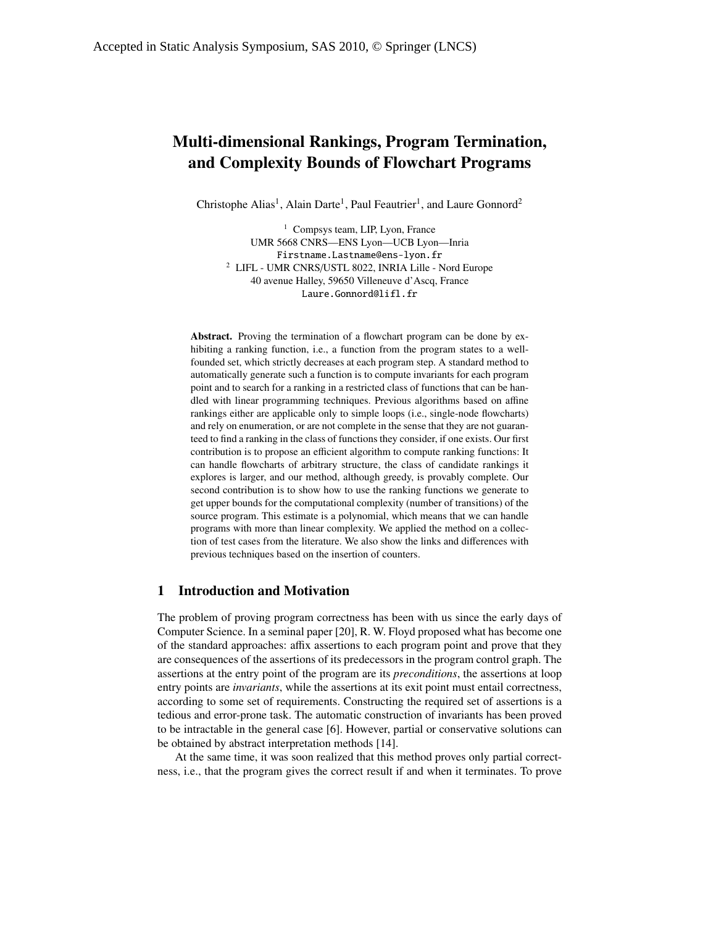# Multi-dimensional Rankings, Program Termination, and Complexity Bounds of Flowchart Programs

Christophe Alias<sup>1</sup>, Alain Darte<sup>1</sup>, Paul Feautrier<sup>1</sup>, and Laure Gonnord<sup>2</sup>

<sup>1</sup> Compsys team, LIP, Lyon, France UMR 5668 CNRS—ENS Lyon—UCB Lyon—Inria Firstname.Lastname@ens-lyon.fr <sup>2</sup> LIFL - UMR CNRS/USTL 8022, INRIA Lille - Nord Europe 40 avenue Halley, 59650 Villeneuve d'Ascq, France Laure.Gonnord@lifl.fr

Abstract. Proving the termination of a flowchart program can be done by exhibiting a ranking function, i.e., a function from the program states to a wellfounded set, which strictly decreases at each program step. A standard method to automatically generate such a function is to compute invariants for each program point and to search for a ranking in a restricted class of functions that can be handled with linear programming techniques. Previous algorithms based on affine rankings either are applicable only to simple loops (i.e., single-node flowcharts) and rely on enumeration, or are not complete in the sense that they are not guaranteed to find a ranking in the class of functions they consider, if one exists. Our first contribution is to propose an efficient algorithm to compute ranking functions: It can handle flowcharts of arbitrary structure, the class of candidate rankings it explores is larger, and our method, although greedy, is provably complete. Our second contribution is to show how to use the ranking functions we generate to get upper bounds for the computational complexity (number of transitions) of the source program. This estimate is a polynomial, which means that we can handle programs with more than linear complexity. We applied the method on a collection of test cases from the literature. We also show the links and differences with previous techniques based on the insertion of counters.

# 1 Introduction and Motivation

The problem of proving program correctness has been with us since the early days of Computer Science. In a seminal paper [20], R. W. Floyd proposed what has become one of the standard approaches: affix assertions to each program point and prove that they are consequences of the assertions of its predecessors in the program control graph. The assertions at the entry point of the program are its *preconditions*, the assertions at loop entry points are *invariants*, while the assertions at its exit point must entail correctness, according to some set of requirements. Constructing the required set of assertions is a tedious and error-prone task. The automatic construction of invariants has been proved to be intractable in the general case [6]. However, partial or conservative solutions can be obtained by abstract interpretation methods [14].

At the same time, it was soon realized that this method proves only partial correctness, i.e., that the program gives the correct result if and when it terminates. To prove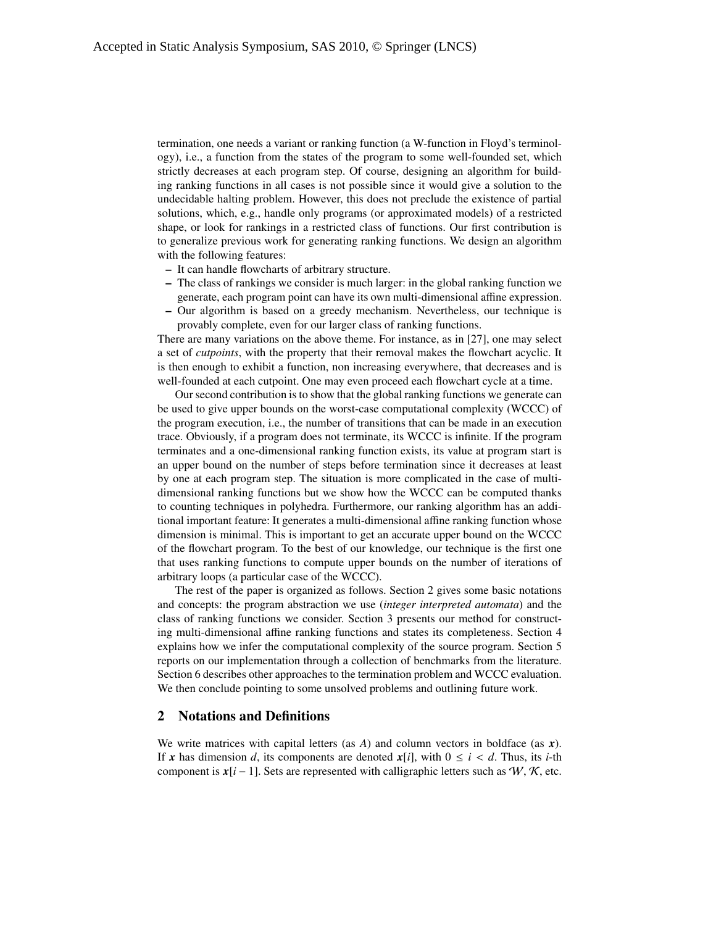termination, one needs a variant or ranking function (a W-function in Floyd's terminology), i.e., a function from the states of the program to some well-founded set, which strictly decreases at each program step. Of course, designing an algorithm for building ranking functions in all cases is not possible since it would give a solution to the undecidable halting problem. However, this does not preclude the existence of partial solutions, which, e.g., handle only programs (or approximated models) of a restricted shape, or look for rankings in a restricted class of functions. Our first contribution is to generalize previous work for generating ranking functions. We design an algorithm with the following features:

- It can handle flowcharts of arbitrary structure.
- The class of rankings we consider is much larger: in the global ranking function we generate, each program point can have its own multi-dimensional affine expression.
- Our algorithm is based on a greedy mechanism. Nevertheless, our technique is provably complete, even for our larger class of ranking functions.

There are many variations on the above theme. For instance, as in [27], one may select a set of *cutpoints*, with the property that their removal makes the flowchart acyclic. It is then enough to exhibit a function, non increasing everywhere, that decreases and is well-founded at each cutpoint. One may even proceed each flowchart cycle at a time.

Our second contribution is to show that the global ranking functions we generate can be used to give upper bounds on the worst-case computational complexity (WCCC) of the program execution, i.e., the number of transitions that can be made in an execution trace. Obviously, if a program does not terminate, its WCCC is infinite. If the program terminates and a one-dimensional ranking function exists, its value at program start is an upper bound on the number of steps before termination since it decreases at least by one at each program step. The situation is more complicated in the case of multidimensional ranking functions but we show how the WCCC can be computed thanks to counting techniques in polyhedra. Furthermore, our ranking algorithm has an additional important feature: It generates a multi-dimensional affine ranking function whose dimension is minimal. This is important to get an accurate upper bound on the WCCC of the flowchart program. To the best of our knowledge, our technique is the first one that uses ranking functions to compute upper bounds on the number of iterations of arbitrary loops (a particular case of the WCCC).

The rest of the paper is organized as follows. Section 2 gives some basic notations and concepts: the program abstraction we use (*integer interpreted automata*) and the class of ranking functions we consider. Section 3 presents our method for constructing multi-dimensional affine ranking functions and states its completeness. Section 4 explains how we infer the computational complexity of the source program. Section 5 reports on our implementation through a collection of benchmarks from the literature. Section 6 describes other approaches to the termination problem and WCCC evaluation. We then conclude pointing to some unsolved problems and outlining future work.

# 2 Notations and Definitions

We write matrices with capital letters (as *A*) and column vectors in boldface (as *x*). If *x* has dimension *d*, its components are denoted  $x[i]$ , with  $0 \le i \le d$ . Thus, its *i*-th component is  $x[i - 1]$ . Sets are represented with calligraphic letters such as W, K, etc.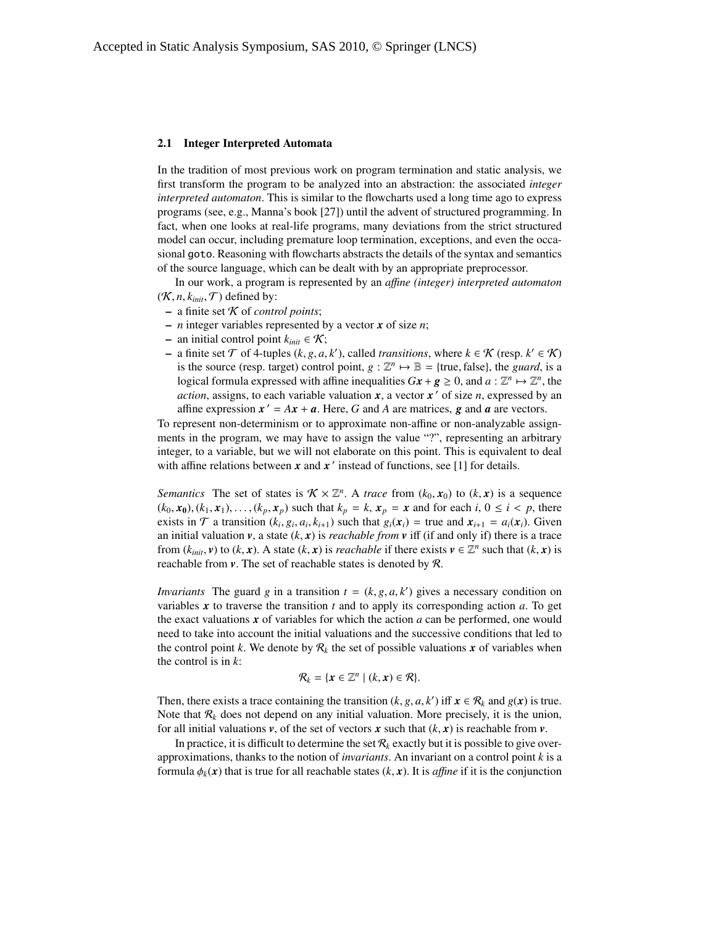#### 2.1 Integer Interpreted Automata

In the tradition of most previous work on program termination and static analysis, we first transform the program to be analyzed into an abstraction: the associated *integer interpreted automaton*. This is similar to the flowcharts used a long time ago to express programs (see, e.g., Manna's book [27]) until the advent of structured programming. In fact, when one looks at real-life programs, many deviations from the strict structured model can occur, including premature loop termination, exceptions, and even the occasional goto. Reasoning with flowcharts abstracts the details of the syntax and semantics of the source language, which can be dealt with by an appropriate preprocessor.

In our work, a program is represented by an *a*ffi*ne (integer) interpreted automaton*  $(K, n, k_{init}, T)$  defined by:

- a finite set K of *control points*;
- *n* integer variables represented by a vector *x* of size *n*;
- an initial control point *kinit* ∈ K;
- a finite set  $\mathcal{T}$  of 4-tuples (*k*, *g*, *a*, *k*<sup> $\prime$ </sup>), called *transitions*, where *k* ∈ K (resp. *k*<sup> $\prime$ </sup> ∈ K) is the source (resp. target) control point  $a : \mathbb{Z}^n \rightarrow \mathbb{R}$  − true false) the *guard* is a is the source (resp. target) control point,  $g : \mathbb{Z}^n \mapsto \mathbb{B} = \{\text{true}, \text{false}\}, \text{ the } \text{guard}, \text{ is a local formula expressed with affine inequalities } G \mathbf{x} + \mathbf{a} \geq 0 \text{ and } a : \mathbb{Z}^n \mapsto \mathbb{Z}^n \text{ the } \text{negative value of } G \mathbf{x} + \mathbf{a} \geq 0 \text{ and } a : \mathbb{Z}^n \mapsto \mathbb{Z}^n \text{ the } \text{negative value of } G \mathbf{x} + \mathbf$ logical formula expressed with affine inequalities  $Gx + g \ge 0$ , and  $a : \mathbb{Z}^n \mapsto \mathbb{Z}^n$ , the *action*, assigns, to each variable valuation  $x$ , a vector  $x'$  of size *n*, expressed by an affine expression  $x' = Ax + a$ . Here, G and A are matrices, g and a are vectors.

To represent non-determinism or to approximate non-affine or non-analyzable assignments in the program, we may have to assign the value "?", representing an arbitrary integer, to a variable, but we will not elaborate on this point. This is equivalent to deal with affine relations between  $x$  and  $x'$  instead of functions, see [1] for details.

*Semantics* The set of states is  $K \times \mathbb{Z}^n$ . A *trace* from  $(k_0, x_0)$  to  $(k, x)$  is a sequence  $(k_0, x_0)$   $(k_1, x_1)$   $(k_2, x_1)$  such that  $k_1 = k_1 x_1 - x_2$  and for each  $i_1 \circ k_2 \circ k_1$  there  $(k_0, x_0)$ ,  $(k_1, x_1)$ , ...,  $(k_p, x_p)$  such that  $k_p = k$ ,  $x_p = x$  and for each  $i, 0 \le i \le p$ , there exists in  $\mathcal{T}$  a transition  $(k_i, g_i, a_i, k_{i+1})$  such that  $g_i(\mathbf{x}_i) = \text{true}$  and  $\mathbf{x}_{i+1} = a_i(\mathbf{x}_i)$ . Given an initial valuation  $\mathbf{v}$  a state  $(k, \mathbf{r})$  is *reachable from*  $\mathbf{v}$  if (if and only if) there is a tr an initial valuation  $v$ , a state  $(k, x)$  is *reachable from*  $v$  iff (if and only if) there is a trace from  $(k_{init}, v)$  to  $(k, x)$ . A state  $(k, x)$  is *reachable* if there exists  $v \in \mathbb{Z}^n$  such that  $(k, x)$  is reachable from  $v$ . The set of reachable states is denoted by  $\mathcal{R}$ reachable from *v*. The set of reachable states is denoted by R.

*Invariants* The guard *g* in a transition  $t = (k, g, a, k')$  gives a necessary condition on variables **x** to traverse the transition *t* and to apply its corresponding action *a*. To get variables  $x$  to traverse the transition  $t$  and to apply its corresponding action  $a$ . To get the exact valuations *x* of variables for which the action *a* can be performed, one would need to take into account the initial valuations and the successive conditions that led to the control point *k*. We denote by  $\mathcal{R}_k$  the set of possible valuations  $\boldsymbol{x}$  of variables when the control is in *k*:

$$
\mathcal{R}_k = \{ \mathbf{x} \in \mathbb{Z}^n \mid (k, \mathbf{x}) \in \mathcal{R} \}.
$$

Then, there exists a trace containing the transition  $(k, g, a, k')$  iff  $x \in R_k$  and  $g(x)$  is true.<br>Note that  $R_k$  does not depend on any initial valuation. More precisely it is the union Note that  $\mathcal{R}_k$  does not depend on any initial valuation. More precisely, it is the union, for all initial valuations  $v$ , of the set of vectors  $x$  such that  $(k, x)$  is reachable from  $v$ .

In practice, it is difficult to determine the set  $\mathcal{R}_k$  exactly but it is possible to give overapproximations, thanks to the notion of *invariants*. An invariant on a control point *k* is a formula  $\phi_k(x)$  that is true for all reachable states  $(k, x)$ . It is *affine* if it is the conjunction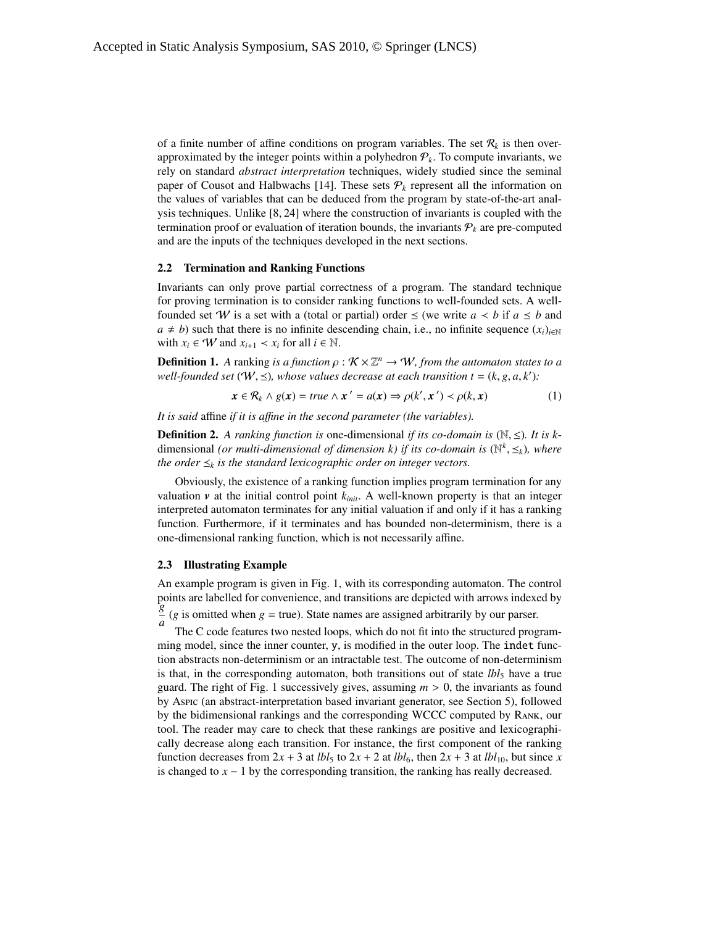of a finite number of affine conditions on program variables. The set  $\mathcal{R}_k$  is then overapproximated by the integer points within a polyhedron  $P_k$ . To compute invariants, we rely on standard *abstract interpretation* techniques, widely studied since the seminal paper of Cousot and Halbwachs [14]. These sets  $P_k$  represent all the information on the values of variables that can be deduced from the program by state-of-the-art analysis techniques. Unlike [8, 24] where the construction of invariants is coupled with the termination proof or evaluation of iteration bounds, the invariants  $P_k$  are pre-computed and are the inputs of the techniques developed in the next sections.

#### 2.2 Termination and Ranking Functions

Invariants can only prove partial correctness of a program. The standard technique for proving termination is to consider ranking functions to well-founded sets. A wellfounded set W is a set with a (total or partial) order  $\leq$  (we write  $a < b$  if  $a \leq b$  and  $a \neq b$ ) such that there is no infinite descending chain, i.e., no infinite sequence  $(x_i)_{i\in\mathbb{N}}$ with  $x_i \in W$  and  $x_{i+1} \prec x_i$  for all  $i \in \mathbb{N}$ .

**Definition 1.** *A* ranking *is a function*  $\rho : K \times \mathbb{Z}^n \to W$ , from the automaton states to a well-founded set  $(W \leq)$  whose values decrease at each transition  $t - (k \cdot a \cdot a \cdot k')$ . *well-founded set*  $(W, \leq)$ *, whose values decrease at each transition t* =  $(k, g, a, k')$ *:* 

$$
\mathbf{x} \in \mathcal{R}_k \wedge g(\mathbf{x}) = \text{true} \wedge \mathbf{x}' = a(\mathbf{x}) \Rightarrow \rho(k', \mathbf{x}') < \rho(k, \mathbf{x}) \tag{1}
$$

*It is said* affine *if it is a*ffi*ne in the second parameter (the variables).*

**Definition 2.** A ranking function is one-dimensional if its co-domain is  $(\mathbb{N}, \leq)$ . It is kdimensional *(or multi-dimensional of dimension k)* if its co-domain is  $(\mathbb{N}^k, \leq_k)$ *, where*<br>the order  $\leq_k$  is the standard lexicographic order on integer vectors *the order*  $\leq_k$  *is the standard lexicographic order on integer vectors.* 

Obviously, the existence of a ranking function implies program termination for any valuation  $v$  at the initial control point  $k_{init}$ . A well-known property is that an integer interpreted automaton terminates for any initial valuation if and only if it has a ranking function. Furthermore, if it terminates and has bounded non-determinism, there is a one-dimensional ranking function, which is not necessarily affine.

#### 2.3 Illustrating Example

An example program is given in Fig. 1, with its corresponding automaton. The control points are labelled for convenience, and transitions are depicted with arrows indexed by *g*  $\frac{\alpha}{a}$  (*g* is omitted when *g* = true). State names are assigned arbitrarily by our parser.

The C code features two nested loops, which do not fit into the structured programming model, since the inner counter, y, is modified in the outer loop. The indet function abstracts non-determinism or an intractable test. The outcome of non-determinism is that, in the corresponding automaton, both transitions out of state  $lbl_5$  have a true guard. The right of Fig. 1 successively gives, assuming  $m > 0$ , the invariants as found by Aspic (an abstract-interpretation based invariant generator, see Section 5), followed by the bidimensional rankings and the corresponding WCCC computed by RANK, our tool. The reader may care to check that these rankings are positive and lexicographically decrease along each transition. For instance, the first component of the ranking function decreases from  $2x + 3$  at *lbl*<sub>5</sub> to  $2x + 2$  at *lbl*<sub>6</sub>, then  $2x + 3$  at *lbl*<sub>10</sub>, but since *x* is changed to  $x - 1$  by the corresponding transition, the ranking has really decreased.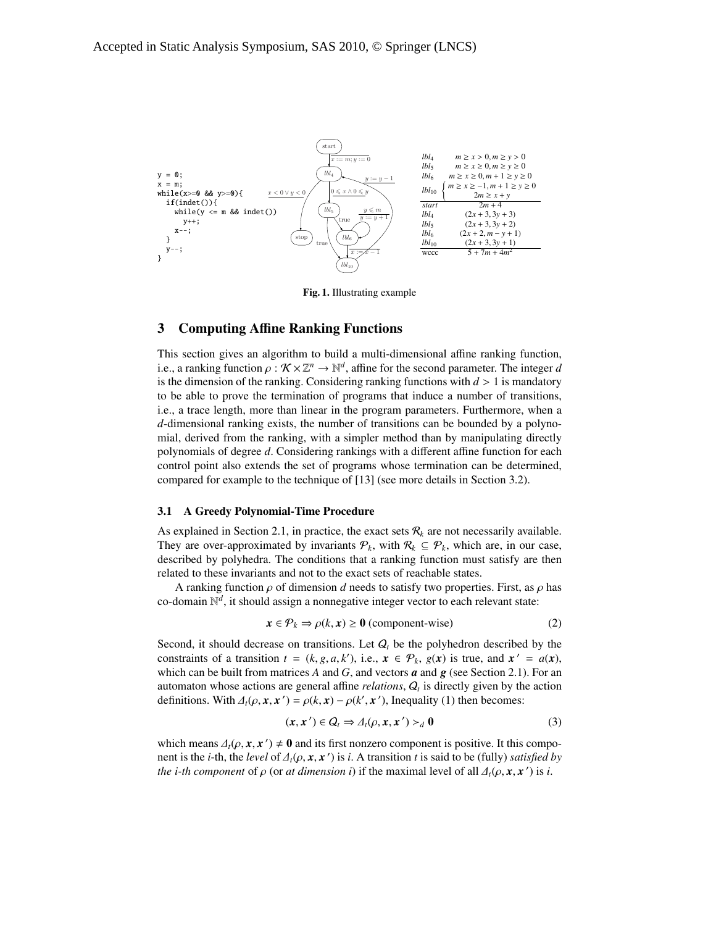

Fig. 1. Illustrating example

# 3 Computing Affine Ranking Functions

This section gives an algorithm to build a multi-dimensional affine ranking function, i.e., a ranking function  $\rho : \mathcal{K} \times \mathbb{Z}^n \to \mathbb{N}^d$ , affine for the second parameter. The integer *d* is the dimension of the ranking Considering ranking functions with  $d > 1$  is mandatory is the dimension of the ranking. Considering ranking functions with  $d > 1$  is mandatory to be able to prove the termination of programs that induce a number of transitions, i.e., a trace length, more than linear in the program parameters. Furthermore, when a *d*-dimensional ranking exists, the number of transitions can be bounded by a polynomial, derived from the ranking, with a simpler method than by manipulating directly polynomials of degree *d*. Considering rankings with a different affine function for each control point also extends the set of programs whose termination can be determined, compared for example to the technique of [13] (see more details in Section 3.2).

#### 3.1 A Greedy Polynomial-Time Procedure

As explained in Section 2.1, in practice, the exact sets  $\mathcal{R}_k$  are not necessarily available. They are over-approximated by invariants  $P_k$ , with  $R_k \subseteq P_k$ , which are, in our case, described by polyhedra. The conditions that a ranking function must satisfy are then related to these invariants and not to the exact sets of reachable states.

A ranking function  $\rho$  of dimension *d* needs to satisfy two properties. First, as  $\rho$  has co-domain  $\mathbb{N}^d$ , it should assign a nonnegative integer vector to each relevant state:

$$
x \in \mathcal{P}_k \Rightarrow \rho(k, x) \ge 0 \text{ (component-wise)}
$$
 (2)

Second, it should decrease on transitions. Let  $Q_t$  be the polyhedron described by the constraints of a transition  $t = (k, g, a, k')$ , i.e.,  $x \in \mathcal{P}_k$ ,  $g(x)$  is true, and  $x' = a(x)$ , which can be built from matrices A and G and vectors a and a (see Section 2.1). For an which can be built from matrices *A* and *G*, and vectors  $\boldsymbol{a}$  and  $\boldsymbol{g}$  (see Section 2.1). For an automaton whose actions are general affine *relations*,  $Q_t$  is directly given by the action definitions. With  $\Delta_t(\rho, x, x') = \rho(k, x) - \rho(k', x')$ , Inequality (1) then becomes:

$$
(\mathbf{x}, \mathbf{x}') \in Q_t \Rightarrow \varDelta_t(\rho, \mathbf{x}, \mathbf{x}') >_d \mathbf{0}
$$
 (3)

which means  $\Delta_t(\rho, \mathbf{x}, \mathbf{x}') \neq \mathbf{0}$  and its first nonzero component is positive. It this compo-<br>pent is the *i*-th the *lavel* of  $A(\rho, \mathbf{x}, \mathbf{x}')$  is *i*. A transition *t* is said to be (fully) satisfied by nent is the *i*-th, the *level* of  $\Delta_t(\rho, x, x')$  is *i*. A transition *t* is said to be (fully) *satisfied by*<br>the *i*-th component of  $\rho$  (or at dimension *i*) if the maximal level of all  $\Delta(\rho, x, x')$  is *i the i-th component* of  $\rho$  (or *at dimension i*) if the maximal level of all  $\Delta_t(\rho, \mathbf{x}, \mathbf{x}')$  is *i*.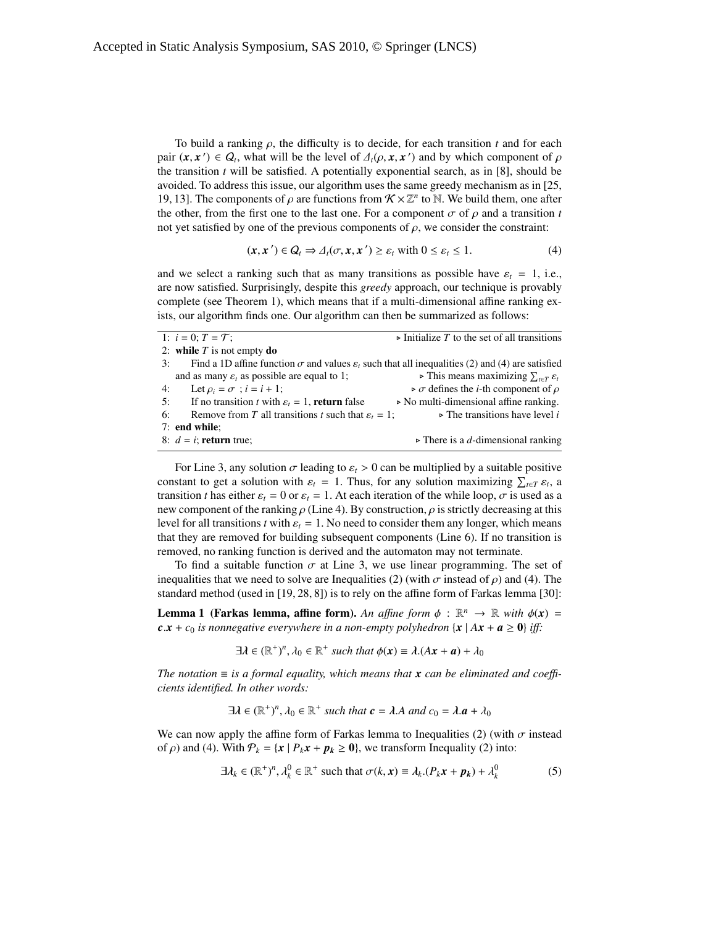To build a ranking  $\rho$ , the difficulty is to decide, for each transition *t* and for each pair  $(x, x') \in Q_t$ , what will be the level of  $\Delta_t(\rho, x, x')$  and by which component of  $\rho$ <br>the transition *t* will be satisfied A potentially exponential search as in [8], should be the transition  $t$  will be satisfied. A potentially exponential search, as in [8], should be avoided. To address this issue, our algorithm uses the same greedy mechanism as in [25, 19, 13]. The components of  $\rho$  are functions from  $\mathcal{K} \times \mathbb{Z}^n$  to N. We build them, one after the other from the first one to the last one. For a component  $\sigma$  of  $\rho$  and a transition to the other, from the first one to the last one. For a component  $\sigma$  of  $\rho$  and a transition *t* not yet satisfied by one of the previous components of  $\rho$ , we consider the constraint:

$$
(\mathbf{x}, \mathbf{x}') \in Q_t \Rightarrow \varDelta_t(\sigma, \mathbf{x}, \mathbf{x}') \ge \varepsilon_t \text{ with } 0 \le \varepsilon_t \le 1. \tag{4}
$$

and we select a ranking such that as many transitions as possible have  $\varepsilon_t = 1$ , i.e., are now satisfied. Surprisingly, despite this *greedy* approach, our technique is provably complete (see Theorem 1), which means that if a multi-dimensional affine ranking exists, our algorithm finds one. Our algorithm can then be summarized as follows:

|    | 1: $i = 0$ ; $T = T$ ;                                                                                             | Initialize T to the set of all transitions                            |
|----|--------------------------------------------------------------------------------------------------------------------|-----------------------------------------------------------------------|
|    | 2: while $T$ is not empty do                                                                                       |                                                                       |
| 3: | Find a 1D affine function $\sigma$ and values $\varepsilon_t$ such that all inequalities (2) and (4) are satisfied |                                                                       |
|    | and as many $\varepsilon_t$ as possible are equal to 1;                                                            | $\triangleright$ This means maximizing $\sum_{t \in T} \varepsilon_t$ |
| 4: | Let $\rho_i = \sigma$ ; $i = i + 1$ ;                                                                              | $\triangleright \sigma$ defines the <i>i</i> -th component of $\rho$  |
| 5: | If no transition t with $\varepsilon_t = 1$ , return false                                                         | $\triangleright$ No multi-dimensional affine ranking.                 |
| 6: | Remove from T all transitions t such that $\varepsilon_t = 1$ ;                                                    | $\triangleright$ The transitions have level i                         |
|    | $7:$ end while:                                                                                                    |                                                                       |
|    | 8: $d = i$ ; return true;                                                                                          | $\triangleright$ There is a d-dimensional ranking                     |
|    |                                                                                                                    |                                                                       |

For Line 3, any solution  $\sigma$  leading to  $\varepsilon_t > 0$  can be multiplied by a suitable positive constant to get a solution with  $\varepsilon_t = 1$ . Thus, for any solution maximizing  $\sum_{t \in T} \varepsilon_t$ , a<br>transition t has either  $\varepsilon = 0$  or  $\varepsilon = 1$ . At each iteration of the while loop  $\sigma$  is used as a transition *t* has either  $\varepsilon_t = 0$  or  $\varepsilon_t = 1$ . At each iteration of the while loop,  $\sigma$  is used as a new component of the ranking  $\rho$  (Line 4). By construction,  $\rho$  is strictly decreasing at this level for all transitions *t* with  $\varepsilon_t = 1$ . No need to consider them any longer, which means that they are removed for building subsequent components (Line 6). If no transition is removed, no ranking function is derived and the automaton may not terminate.

To find a suitable function  $\sigma$  at Line 3, we use linear programming. The set of inequalities that we need to solve are Inequalities (2) (with  $\sigma$  instead of  $\rho$ ) and (4). The standard method (used in [19, 28, 8]) is to rely on the affine form of Farkas lemma [30]:

**Lemma 1 (Farkas lemma, affine form).** An affine form  $\phi : \mathbb{R}^n \to \mathbb{R}$  with  $\phi(x) = c$ ,  $x + c_0$  is nonnegative everywhere in a non-empty polyhedron  $\{x \mid 4x + a \ge 0\}$  iff *c*.*x* + *c*<sub>0</sub> *is nonnegative everywhere in a non-empty polyhedron* {*x* |  $Ax + a \ge 0$ } *iff:* 

 $\exists \lambda \in (\mathbb{R}^+)^n, \lambda_0 \in \mathbb{R}^+$  such that  $\phi(\mathbf{x}) \equiv \lambda \cdot (A\mathbf{x} + \mathbf{a}) + \lambda_0$ 

*The notation*  $\equiv$  *is a formal equality, which means that*  $\bm{x}$  *can be eliminated and coefficients identified. In other words:*

$$
\exists \lambda \in (\mathbb{R}^+)^n, \lambda_0 \in \mathbb{R}^+ \text{ such that } \mathbf{c} = \lambda \mathbf{A} \text{ and } c_0 = \lambda \mathbf{a} + \lambda_0
$$

We can now apply the affine form of Farkas lemma to Inequalities (2) (with  $\sigma$  instead of  $\rho$ ) and (4). With  $P_k = \{x \mid P_k x + p_k \ge 0\}$ , we transform Inequality (2) into:

$$
\exists \lambda_k \in (\mathbb{R}^+)^n, \lambda_k^0 \in \mathbb{R}^+ \text{ such that } \sigma(k, x) \equiv \lambda_k . (P_k x + p_k) + \lambda_k^0 \tag{5}
$$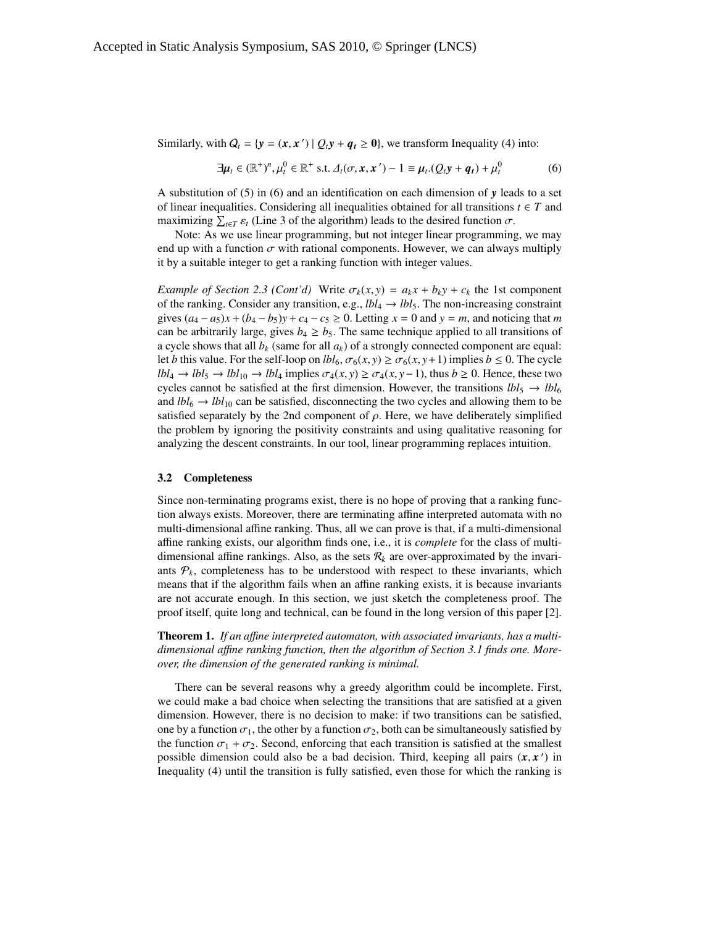Similarly, with  $Q_t = \{y = (x, x') | Q_t y + q_t \ge 0\}$ , we transform Inequality (4) into:

$$
\exists \boldsymbol{\mu}_t \in (\mathbb{R}^+)^n, \mu_t^0 \in \mathbb{R}^+ \text{ s.t. } \varLambda_t(\sigma, \boldsymbol{x}, \boldsymbol{x}') - 1 \equiv \mu_t \cdot (Q_t \boldsymbol{y} + \boldsymbol{q}_t) + \mu_t^0 \tag{6}
$$

A substitution of (5) in (6) and an identification on each dimension of *y* leads to a set of linear inequalities. Considering all inequalities obtained for all transitions  $t \in T$  and maximizing  $\sum_{t \in T} \varepsilon_t$  (Line 3 of the algorithm) leads to the desired function  $\sigma$ .<br>Note: As we use linear programming, but not integer linear programming

Note: As we use linear programming, but not integer linear programming, we may end up with a function  $\sigma$  with rational components. However, we can always multiply it by a suitable integer to get a ranking function with integer values.

*Example of Section 2.3 (Cont'd)* Write  $\sigma_k(x, y) = a_k x + b_k y + c_k$  the 1st component of the ranking. Consider any transition, e.g.,  $lbl_4 \rightarrow lbl_5$ . The non-increasing constraint gives  $(a_4 - a_5)x + (b_4 - b_5)y + c_4 - c_5 ≥ 0$ . Letting  $x = 0$  and  $y = m$ , and noticing that *m* can be arbitrarily large, gives  $b_4 \geq b_5$ . The same technique applied to all transitions of a cycle shows that all  $b_k$  (same for all  $a_k$ ) of a strongly connected component are equal: let *b* this value. For the self-loop on  $lbl_6$ ,  $\sigma_6(x, y) \ge \sigma_6(x, y+1)$  implies  $b \le 0$ . The cycle  *implies*  $\sigma_4(x, y) \ge \sigma_4(x, y-1)$ *, thus*  $b \ge 0$ *. Hence, these two* cycles cannot be satisfied at the first dimension. However, the transitions  $lbl_5 \rightarrow lbl_6$ and  $lbl_6 \rightarrow lbl_{10}$  can be satisfied, disconnecting the two cycles and allowing them to be satisfied separately by the 2nd component of  $\rho$ . Here, we have deliberately simplified the problem by ignoring the positivity constraints and using qualitative reasoning for analyzing the descent constraints. In our tool, linear programming replaces intuition.

#### 3.2 Completeness

Since non-terminating programs exist, there is no hope of proving that a ranking function always exists. Moreover, there are terminating affine interpreted automata with no multi-dimensional affine ranking. Thus, all we can prove is that, if a multi-dimensional affine ranking exists, our algorithm finds one, i.e., it is *complete* for the class of multidimensional affine rankings. Also, as the sets  $\mathcal{R}_k$  are over-approximated by the invariants  $P_k$ , completeness has to be understood with respect to these invariants, which means that if the algorithm fails when an affine ranking exists, it is because invariants are not accurate enough. In this section, we just sketch the completeness proof. The proof itself, quite long and technical, can be found in the long version of this paper [2].

Theorem 1. *If an a*ffi*ne interpreted automaton, with associated invariants, has a multidimensional a*ffi*ne ranking function, then the algorithm of Section 3.1 finds one. Moreover, the dimension of the generated ranking is minimal.*

There can be several reasons why a greedy algorithm could be incomplete. First, we could make a bad choice when selecting the transitions that are satisfied at a given dimension. However, there is no decision to make: if two transitions can be satisfied, one by a function  $\sigma_1$ , the other by a function  $\sigma_2$ , both can be simultaneously satisfied by the function  $\sigma_1 + \sigma_2$ . Second, enforcing that each transition is satisfied at the smallest possible dimension could also be a bad decision. Third, keeping all pairs  $(x, x')$  in<br>Inequality (A) until the transition is fully satisfied, even those for which the ranking is Inequality (4) until the transition is fully satisfied, even those for which the ranking is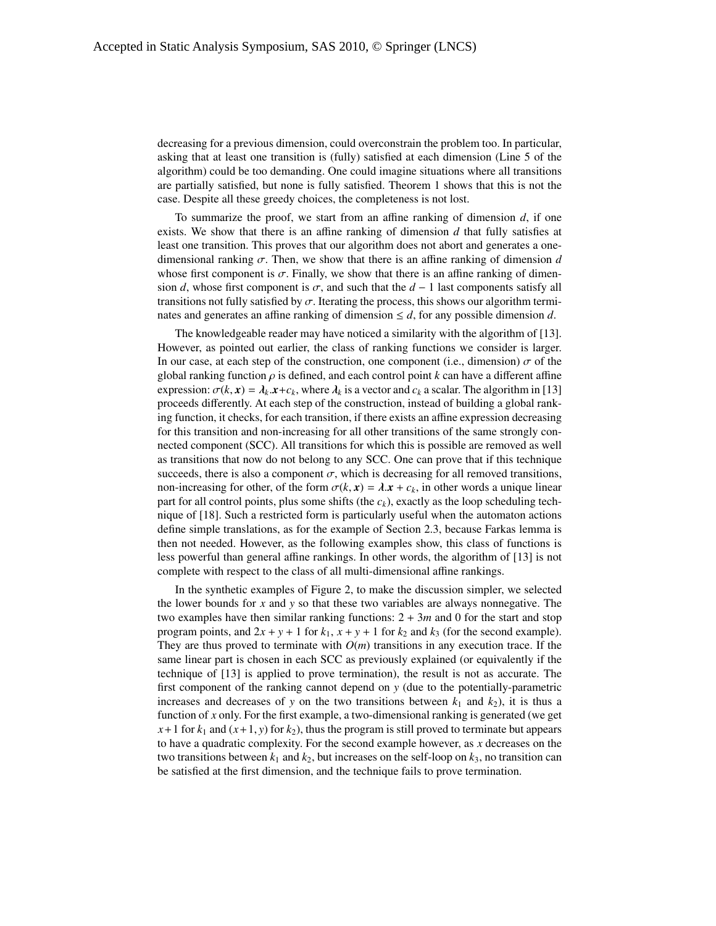decreasing for a previous dimension, could overconstrain the problem too. In particular, asking that at least one transition is (fully) satisfied at each dimension (Line 5 of the algorithm) could be too demanding. One could imagine situations where all transitions are partially satisfied, but none is fully satisfied. Theorem 1 shows that this is not the case. Despite all these greedy choices, the completeness is not lost.

To summarize the proof, we start from an affine ranking of dimension *d*, if one exists. We show that there is an affine ranking of dimension *d* that fully satisfies at least one transition. This proves that our algorithm does not abort and generates a onedimensional ranking  $\sigma$ . Then, we show that there is an affine ranking of dimension *d* whose first component is  $\sigma$ . Finally, we show that there is an affine ranking of dimension *d*, whose first component is  $\sigma$ , and such that the *d* − 1 last components satisfy all transitions not fully satisfied by  $\sigma$ . Iterating the process, this shows our algorithm terminates and generates an affine ranking of dimension  $\leq d$ , for any possible dimension  $d$ .

The knowledgeable reader may have noticed a similarity with the algorithm of [13]. However, as pointed out earlier, the class of ranking functions we consider is larger. In our case, at each step of the construction, one component (i.e., dimension)  $\sigma$  of the global ranking function  $\rho$  is defined, and each control point *k* can have a different affine expression:  $\sigma(k, x) = \lambda_k . x + c_k$ , where  $\lambda_k$  is a vector and  $c_k$  a scalar. The algorithm in [13] proceeds differently. At each step of the construction, instead of building a global ranking function, it checks, for each transition, if there exists an affine expression decreasing for this transition and non-increasing for all other transitions of the same strongly connected component (SCC). All transitions for which this is possible are removed as well as transitions that now do not belong to any SCC. One can prove that if this technique succeeds, there is also a component  $\sigma$ , which is decreasing for all removed transitions, non-increasing for other, of the form  $\sigma(k, x) = \lambda x + c_k$ , in other words a unique linear part for all control points, plus some shifts (the  $c_k$ ), exactly as the loop scheduling technique of [18]. Such a restricted form is particularly useful when the automaton actions define simple translations, as for the example of Section 2.3, because Farkas lemma is then not needed. However, as the following examples show, this class of functions is less powerful than general affine rankings. In other words, the algorithm of [13] is not complete with respect to the class of all multi-dimensional affine rankings.

In the synthetic examples of Figure 2, to make the discussion simpler, we selected the lower bounds for *x* and *y* so that these two variables are always nonnegative. The two examples have then similar ranking functions:  $2 + 3m$  and 0 for the start and stop program points, and  $2x + y + 1$  for  $k_1$ ,  $x + y + 1$  for  $k_2$  and  $k_3$  (for the second example). They are thus proved to terminate with  $O(m)$  transitions in any execution trace. If the same linear part is chosen in each SCC as previously explained (or equivalently if the technique of [13] is applied to prove termination), the result is not as accurate. The first component of the ranking cannot depend on *y* (due to the potentially-parametric increases and decreases of *y* on the two transitions between  $k_1$  and  $k_2$ ), it is thus a function of *x* only. For the first example, a two-dimensional ranking is generated (we get  $x+1$  for  $k_1$  and  $(x+1, y)$  for  $k_2$ ), thus the program is still proved to terminate but appears to have a quadratic complexity. For the second example however, as *x* decreases on the two transitions between  $k_1$  and  $k_2$ , but increases on the self-loop on  $k_3$ , no transition can be satisfied at the first dimension, and the technique fails to prove termination.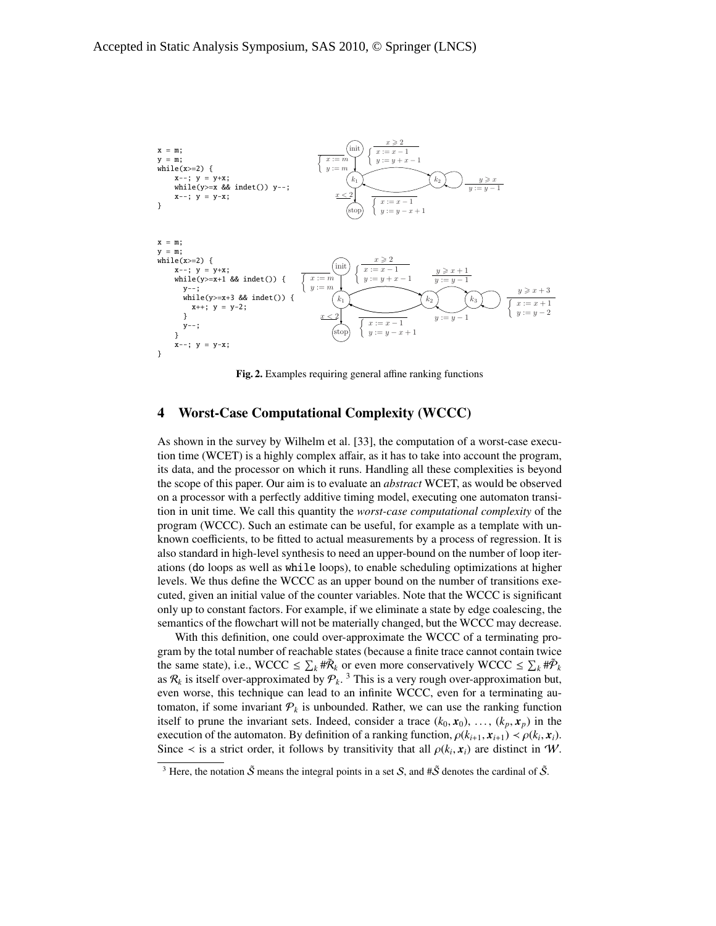

Fig. 2. Examples requiring general affine ranking functions

# 4 Worst-Case Computational Complexity (WCCC)

As shown in the survey by Wilhelm et al. [33], the computation of a worst-case execution time (WCET) is a highly complex affair, as it has to take into account the program, its data, and the processor on which it runs. Handling all these complexities is beyond the scope of this paper. Our aim is to evaluate an *abstract* WCET, as would be observed on a processor with a perfectly additive timing model, executing one automaton transition in unit time. We call this quantity the *worst-case computational complexity* of the program (WCCC). Such an estimate can be useful, for example as a template with unknown coefficients, to be fitted to actual measurements by a process of regression. It is also standard in high-level synthesis to need an upper-bound on the number of loop iterations (do loops as well as while loops), to enable scheduling optimizations at higher levels. We thus define the WCCC as an upper bound on the number of transitions executed, given an initial value of the counter variables. Note that the WCCC is significant only up to constant factors. For example, if we eliminate a state by edge coalescing, the semantics of the flowchart will not be materially changed, but the WCCC may decrease.

With this definition, one could over-approximate the WCCC of a terminating program by the total number of reachable states (because a finite trace cannot contain twice the same state), i.e., WCCC  $\leq \sum_k \#\tilde{\mathcal{R}}_k$  or even more conservatively WCCC  $\leq \sum_k \#\tilde{\mathcal{P}}_k$ as  $\mathcal{R}_k$  is itself over-approximated by  $\mathcal{P}_k$ .<sup>3</sup> This is a very rough over-approximation but, even worse, this technique can lead to an infinite WCCC, even for a terminating automaton, if some invariant  $P_k$  is unbounded. Rather, we can use the ranking function itself to prune the invariant sets. Indeed, consider a trace  $(k_0, x_0), \ldots, (k_p, x_p)$  in the execution of the automaton. By definition of a ranking function,  $\rho(k_{i+1}, x_{i+1}) \leq \rho(k_i, x_i)$ .<br>Since  $\geq$  is a strict order, it follows by transitivity that all  $\rho(k_i, x_i)$  are distinct in  $\Psi$ . Since  $\lt$  is a strict order, it follows by transitivity that all  $\rho(k_i, x_i)$  are distinct in *W*.

<sup>&</sup>lt;sup>3</sup> Here, the notation  $\tilde{S}$  means the integral points in a set  $S$ , and  $\#\tilde{S}$  denotes the cardinal of  $\tilde{S}$ .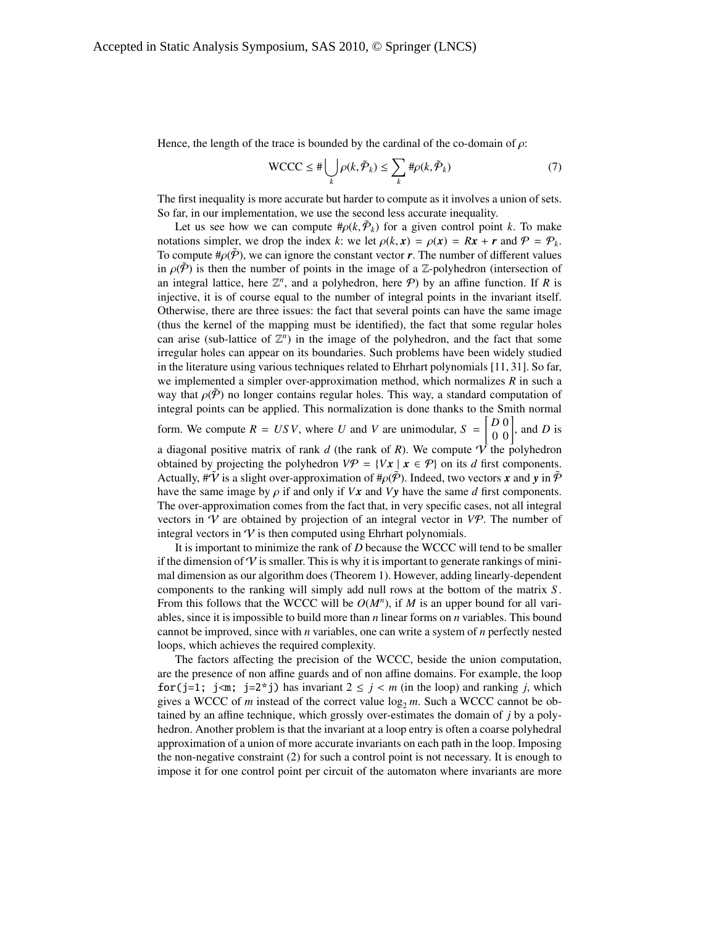Hence, the length of the trace is bounded by the cardinal of the co-domain of  $\rho$ :

$$
\text{WCCC} \leq # \bigcup_{k} \rho(k, \tilde{\mathcal{P}}_k) \leq \sum_{k} # \rho(k, \tilde{\mathcal{P}}_k) \tag{7}
$$

The first inequality is more accurate but harder to compute as it involves a union of sets. So far, in our implementation, we use the second less accurate inequality.

Let us see how we can compute  $\#\rho(k,\tilde{\mathcal{P}}_k)$  for a given control point *k*. To make notations simpler, we drop the index *k*: we let  $\rho(k, x) = \rho(x) = Rx + r$  and  $P = P_k$ . To compute  $\#\rho(\tilde{P})$ , we can ignore the constant vector *r*. The number of different values in  $\rho(\tilde{P})$  is then the number of points in the image of a Z-polyhedron (intersection of an integral lattice, here  $\mathbb{Z}^n$ , and a polyhedron, here  $P$ ) by an affine function. If R is injective, it is of course equal to the number of integral points in the invariant itself. Otherwise, there are three issues: the fact that several points can have the same image (thus the kernel of the mapping must be identified), the fact that some regular holes can arise (sub-lattice of  $\mathbb{Z}^n$ ) in the image of the polyhedron, and the fact that some irregular holes can appear on its boundaries. Such problems have been widely studied in the literature using various techniques related to Ehrhart polynomials [11, 31]. So far, we implemented a simpler over-approximation method, which normalizes *R* in such a way that  $\rho(\tilde{P})$  no longer contains regular holes. This way, a standard computation of integral points can be applied. This normalization is done thanks to the Smith normal

form. We compute  $R = USV$ , where U and V are unimodular,  $S = \begin{bmatrix} D & 0 \\ 0 & 0 \end{bmatrix}$ , and D is

a diagonal positive matrix of rank *d* (the rank of *R*). We compute  $\overline{V}$  the polyhedron obtained by projecting the polyhedron  $V\mathcal{P} = \{Vx \mid x \in \mathcal{P}\}\$  on its *d* first components. Actually,  $\sharp \tilde{V}$  is a slight over-approximation of  $\sharp \rho(\tilde{P})$ . Indeed, two vectors x and y in  $\tilde{P}$ have the same image by  $\rho$  if and only if *Vx* and *Vy* have the same *d* first components. The over-approximation comes from the fact that, in very specific cases, not all integral vectors in V are obtained by projection of an integral vector in *V*P. The number of integral vectors in  $\mathcal V$  is then computed using Ehrhart polynomials.

It is important to minimize the rank of *D* because the WCCC will tend to be smaller if the dimension of  $V$  is smaller. This is why it is important to generate rankings of minimal dimension as our algorithm does (Theorem 1). However, adding linearly-dependent components to the ranking will simply add null rows at the bottom of the matrix *S* . From this follows that the WCCC will be  $O(M^n)$ , if M is an upper bound for all variables, since it is impossible to build more than *n* linear forms on *n* variables. This bound cannot be improved, since with *n* variables, one can write a system of *n* perfectly nested loops, which achieves the required complexity.

The factors affecting the precision of the WCCC, beside the union computation, are the presence of non affine guards and of non affine domains. For example, the loop for(j=1; j<m; j=2\*j) has invariant  $2 \le j < m$  (in the loop) and ranking *j*, which gives a WCCC of  $m$  instead of the correct value  $\log_2 m$ . Such a WCCC cannot be obtained by an affine technique, which grossly over-estimates the domain of *j* by a polyhedron. Another problem is that the invariant at a loop entry is often a coarse polyhedral approximation of a union of more accurate invariants on each path in the loop. Imposing the non-negative constraint (2) for such a control point is not necessary. It is enough to impose it for one control point per circuit of the automaton where invariants are more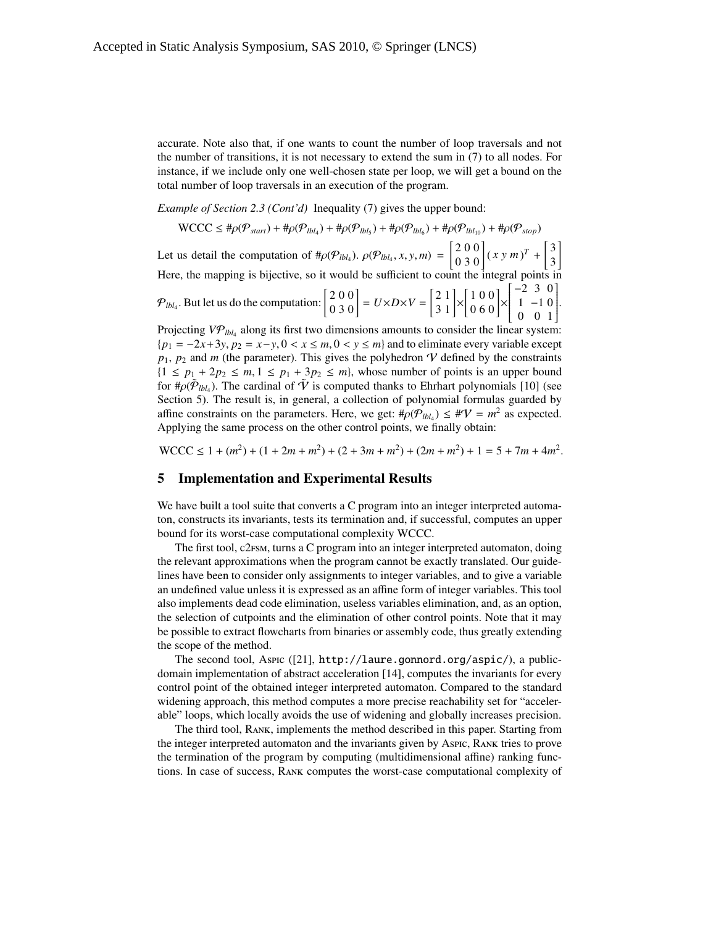accurate. Note also that, if one wants to count the number of loop traversals and not the number of transitions, it is not necessary to extend the sum in (7) to all nodes. For instance, if we include only one well-chosen state per loop, we will get a bound on the total number of loop traversals in an execution of the program.

*Example of Section 2.3 (Cont'd)* Inequality (7) gives the upper bound:

$$
\text{WCCC} \leq #\rho(\mathcal{P}_{start}) + #\rho(\mathcal{P}_{lb1}) + #\rho(\mathcal{P}_{lb1}) + #\rho(\mathcal{P}_{lb10}) + #\rho(\mathcal{P}_{lb10}) + #\rho(\mathcal{P}_{stop})
$$

Let us detail the computation of  $\#\rho(\mathcal{P}_{lbl_4})$ .  $\rho(\mathcal{P}_{lbl_4}, x, y, m) = \begin{bmatrix} 2 & 0 & 0 \\ 0 & 3 & 0 \end{bmatrix} (xy)^T + \begin{bmatrix} 3 & 0 & 0 \\ 3 & 0 & 0 \end{bmatrix}$ 3 1 Here, the mapping is bijective, so it would be sufficient to count the integral points in  $\mathcal{P}_{lbl_4}$ . But let us do the computation:  $\begin{bmatrix} 2 & 0 & 0 \\ 0 & 3 & 0 \end{bmatrix} = U \times D \times V = \begin{bmatrix} 2 & 1 \\ 3 & 1 \end{bmatrix} \times \begin{bmatrix} 1 & 0 & 0 \\ 0 & 6 & 0 \end{bmatrix} \times$  $[-2 \ 3 \ 0$  $\overline{\phantom{a}}$ 1 −1 0 0 0 1 1  $\overline{\phantom{a}}$ .

Projecting  $VP_{lbl_4}$  along its first two dimensions amounts to consider the linear system:  ${p_1 = -2x+3y, p_2 = x-y, 0 < x \le m, 0 < y \le m}$  and to eliminate every variable except  $p_1$ ,  $p_2$  and *m* (the parameter). This gives the polyhedron V defined by the constraints  ${1 \leq p_1 + 2p_2 \leq m, 1 \leq p_1 + 3p_2 \leq m}$ , whose number of points is an upper bound for  $\sharp \rho(\tilde{\mathcal{P}}_{bb4})$ . The cardinal of  $\tilde{\mathcal{V}}$  is computed thanks to Ehrhart polynomials [10] (see<br>Section 5). The result is in general, a collection of polynomial formulas guarded by Section 5). The result is, in general, a collection of polynomial formulas guarded by affine constraints on the parameters. Here, we get:  $\#\rho(\mathcal{P}_{lb4}) \leq \#\mathcal{V} = m^2$  as expected.<br>Applying the same process on the other control points, we finally obtain: Applying the same process on the other control points, we finally obtain:

 $WCCC \le 1 + (m^2) + (1 + 2m + m^2) + (2 + 3m + m^2) + (2m + m^2) + 1 = 5 + 7m + 4m^2$ 

# 5 Implementation and Experimental Results

We have built a tool suite that converts a C program into an integer interpreted automaton, constructs its invariants, tests its termination and, if successful, computes an upper bound for its worst-case computational complexity WCCC.

The first tool,  $c2$ <sub>rsM</sub>, turns a C program into an integer interpreted automaton, doing the relevant approximations when the program cannot be exactly translated. Our guidelines have been to consider only assignments to integer variables, and to give a variable an undefined value unless it is expressed as an affine form of integer variables. This tool also implements dead code elimination, useless variables elimination, and, as an option, the selection of cutpoints and the elimination of other control points. Note that it may be possible to extract flowcharts from binaries or assembly code, thus greatly extending the scope of the method.

The second tool, Aspic ([21], http://laure.gonnord.org/aspic/), a publicdomain implementation of abstract acceleration [14], computes the invariants for every control point of the obtained integer interpreted automaton. Compared to the standard widening approach, this method computes a more precise reachability set for "accelerable" loops, which locally avoids the use of widening and globally increases precision.

The third tool, RANK, implements the method described in this paper. Starting from the integer interpreted automaton and the invariants given by Aspic, RANK tries to prove the termination of the program by computing (multidimensional affine) ranking functions. In case of success, RANK computes the worst-case computational complexity of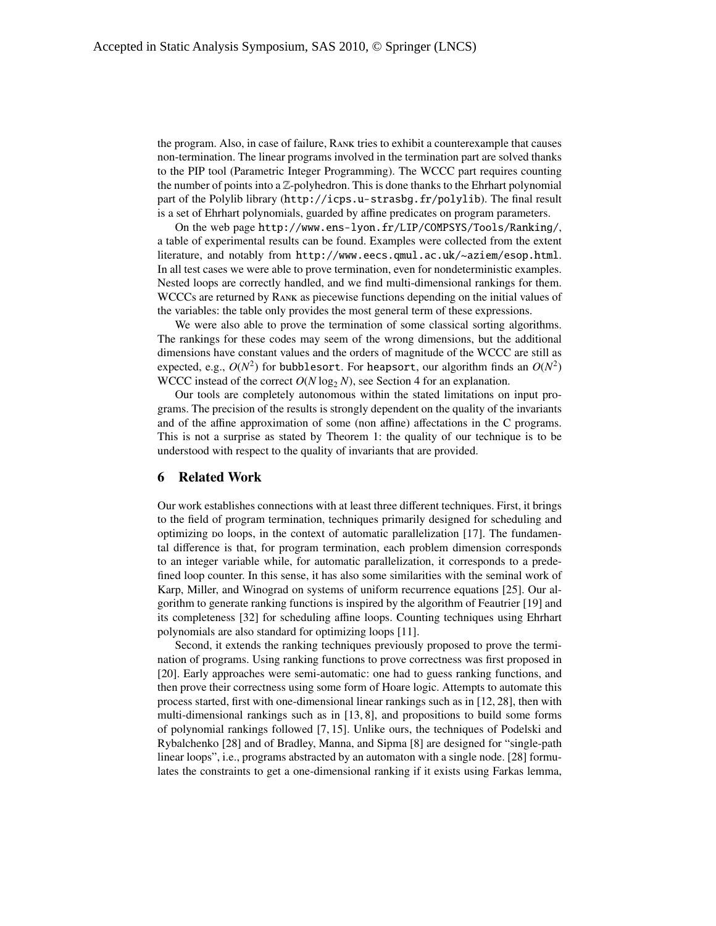the program. Also, in case of failure, RANK tries to exhibit a counterexample that causes non-termination. The linear programs involved in the termination part are solved thanks to the PIP tool (Parametric Integer Programming). The WCCC part requires counting the number of points into a  $\mathbb Z$ -polyhedron. This is done thanks to the Ehrhart polynomial part of the Polylib library (http://icps.u-strasbg.fr/polylib). The final result is a set of Ehrhart polynomials, guarded by affine predicates on program parameters.

On the web page http://www.ens-lyon.fr/LIP/COMPSYS/Tools/Ranking/, a table of experimental results can be found. Examples were collected from the extent literature, and notably from http://www.eecs.qmul.ac.uk/~aziem/esop.html. In all test cases we were able to prove termination, even for nondeterministic examples. Nested loops are correctly handled, and we find multi-dimensional rankings for them. WCCCs are returned by RANK as piecewise functions depending on the initial values of the variables: the table only provides the most general term of these expressions.

We were also able to prove the termination of some classical sorting algorithms. The rankings for these codes may seem of the wrong dimensions, but the additional dimensions have constant values and the orders of magnitude of the WCCC are still as expected, e.g.,  $O(N^2)$  for bubblesort. For heapsort, our algorithm finds an  $O(N^2)$ WCCC instead of the correct  $O(N \log_2 N)$ , see Section 4 for an explanation.

Our tools are completely autonomous within the stated limitations on input programs. The precision of the results is strongly dependent on the quality of the invariants and of the affine approximation of some (non affine) affectations in the C programs. This is not a surprise as stated by Theorem 1: the quality of our technique is to be understood with respect to the quality of invariants that are provided.

# 6 Related Work

Our work establishes connections with at least three different techniques. First, it brings to the field of program termination, techniques primarily designed for scheduling and optimizing  $\alpha$  loops, in the context of automatic parallelization [17]. The fundamental difference is that, for program termination, each problem dimension corresponds to an integer variable while, for automatic parallelization, it corresponds to a predefined loop counter. In this sense, it has also some similarities with the seminal work of Karp, Miller, and Winograd on systems of uniform recurrence equations [25]. Our algorithm to generate ranking functions is inspired by the algorithm of Feautrier [19] and its completeness [32] for scheduling affine loops. Counting techniques using Ehrhart polynomials are also standard for optimizing loops [11].

Second, it extends the ranking techniques previously proposed to prove the termination of programs. Using ranking functions to prove correctness was first proposed in [20]. Early approaches were semi-automatic: one had to guess ranking functions, and then prove their correctness using some form of Hoare logic. Attempts to automate this process started, first with one-dimensional linear rankings such as in [12, 28], then with multi-dimensional rankings such as in [13, 8], and propositions to build some forms of polynomial rankings followed [7, 15]. Unlike ours, the techniques of Podelski and Rybalchenko [28] and of Bradley, Manna, and Sipma [8] are designed for "single-path linear loops", i.e., programs abstracted by an automaton with a single node. [28] formulates the constraints to get a one-dimensional ranking if it exists using Farkas lemma,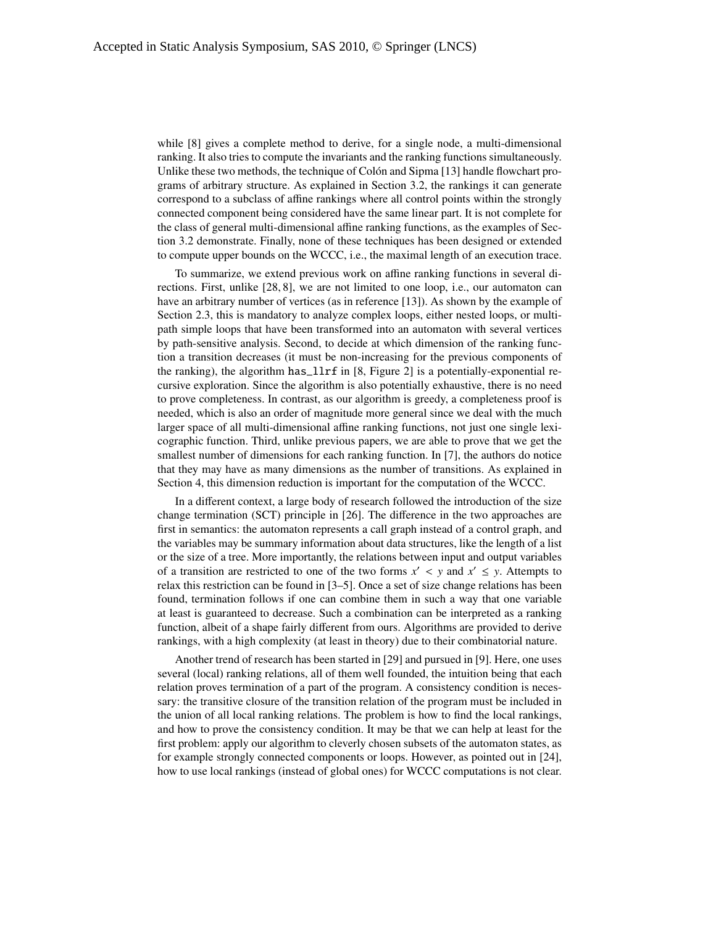while [8] gives a complete method to derive, for a single node, a multi-dimensional ranking. It also tries to compute the invariants and the ranking functions simultaneously. Unlike these two methods, the technique of Colón and Sipma [13] handle flowchart programs of arbitrary structure. As explained in Section 3.2, the rankings it can generate correspond to a subclass of affine rankings where all control points within the strongly connected component being considered have the same linear part. It is not complete for the class of general multi-dimensional affine ranking functions, as the examples of Section 3.2 demonstrate. Finally, none of these techniques has been designed or extended to compute upper bounds on the WCCC, i.e., the maximal length of an execution trace.

To summarize, we extend previous work on affine ranking functions in several directions. First, unlike [28, 8], we are not limited to one loop, i.e., our automaton can have an arbitrary number of vertices (as in reference [13]). As shown by the example of Section 2.3, this is mandatory to analyze complex loops, either nested loops, or multipath simple loops that have been transformed into an automaton with several vertices by path-sensitive analysis. Second, to decide at which dimension of the ranking function a transition decreases (it must be non-increasing for the previous components of the ranking), the algorithm has\_llrf in [8, Figure 2] is a potentially-exponential recursive exploration. Since the algorithm is also potentially exhaustive, there is no need to prove completeness. In contrast, as our algorithm is greedy, a completeness proof is needed, which is also an order of magnitude more general since we deal with the much larger space of all multi-dimensional affine ranking functions, not just one single lexicographic function. Third, unlike previous papers, we are able to prove that we get the smallest number of dimensions for each ranking function. In [7], the authors do notice that they may have as many dimensions as the number of transitions. As explained in Section 4, this dimension reduction is important for the computation of the WCCC.

In a different context, a large body of research followed the introduction of the size change termination (SCT) principle in [26]. The difference in the two approaches are first in semantics: the automaton represents a call graph instead of a control graph, and the variables may be summary information about data structures, like the length of a list or the size of a tree. More importantly, the relations between input and output variables of a transition are restricted to one of the two forms  $x' < y$  and  $x' \le y$ . Attempts to relay this restriction can be found in [3–5]. Once a set of size change relations has been relax this restriction can be found in [3–5]. Once a set of size change relations has been found, termination follows if one can combine them in such a way that one variable at least is guaranteed to decrease. Such a combination can be interpreted as a ranking function, albeit of a shape fairly different from ours. Algorithms are provided to derive rankings, with a high complexity (at least in theory) due to their combinatorial nature.

Another trend of research has been started in [29] and pursued in [9]. Here, one uses several (local) ranking relations, all of them well founded, the intuition being that each relation proves termination of a part of the program. A consistency condition is necessary: the transitive closure of the transition relation of the program must be included in the union of all local ranking relations. The problem is how to find the local rankings, and how to prove the consistency condition. It may be that we can help at least for the first problem: apply our algorithm to cleverly chosen subsets of the automaton states, as for example strongly connected components or loops. However, as pointed out in [24], how to use local rankings (instead of global ones) for WCCC computations is not clear.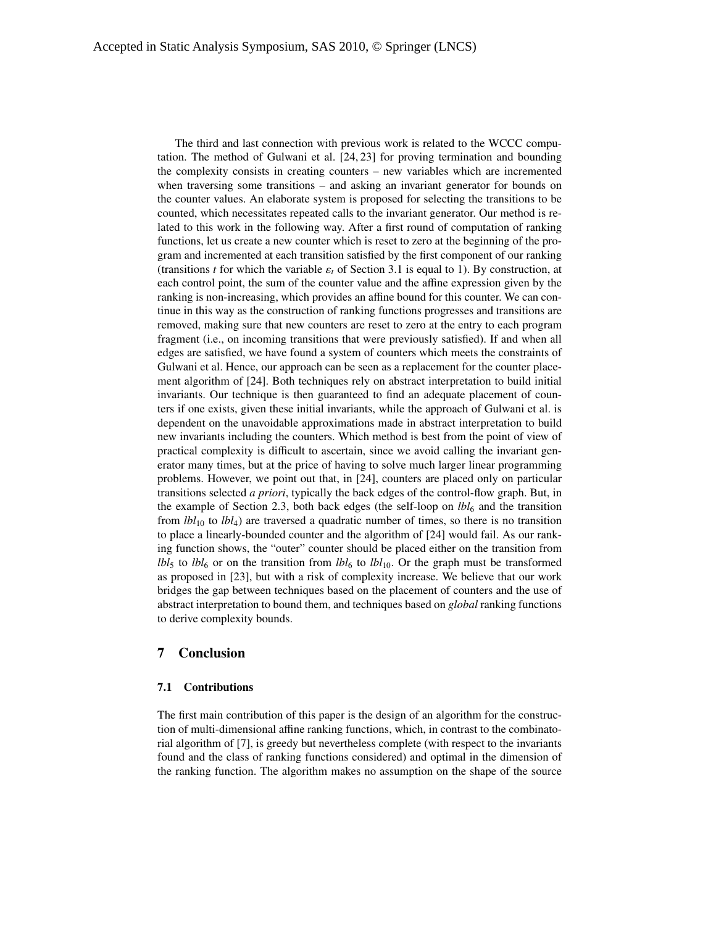The third and last connection with previous work is related to the WCCC computation. The method of Gulwani et al. [24, 23] for proving termination and bounding the complexity consists in creating counters – new variables which are incremented when traversing some transitions – and asking an invariant generator for bounds on the counter values. An elaborate system is proposed for selecting the transitions to be counted, which necessitates repeated calls to the invariant generator. Our method is related to this work in the following way. After a first round of computation of ranking functions, let us create a new counter which is reset to zero at the beginning of the program and incremented at each transition satisfied by the first component of our ranking (transitions *t* for which the variable  $\varepsilon_t$  of Section 3.1 is equal to 1). By construction, at each control point, the sum of the counter value and the affine expression given by the ranking is non-increasing, which provides an affine bound for this counter. We can continue in this way as the construction of ranking functions progresses and transitions are removed, making sure that new counters are reset to zero at the entry to each program fragment (i.e., on incoming transitions that were previously satisfied). If and when all edges are satisfied, we have found a system of counters which meets the constraints of Gulwani et al. Hence, our approach can be seen as a replacement for the counter placement algorithm of [24]. Both techniques rely on abstract interpretation to build initial invariants. Our technique is then guaranteed to find an adequate placement of counters if one exists, given these initial invariants, while the approach of Gulwani et al. is dependent on the unavoidable approximations made in abstract interpretation to build new invariants including the counters. Which method is best from the point of view of practical complexity is difficult to ascertain, since we avoid calling the invariant generator many times, but at the price of having to solve much larger linear programming problems. However, we point out that, in [24], counters are placed only on particular transitions selected *a priori*, typically the back edges of the control-flow graph. But, in the example of Section 2.3, both back edges (the self-loop on *lbl*<sub>6</sub> and the transition from  $lbl_{10}$  to  $lbl_4$ ) are traversed a quadratic number of times, so there is no transition to place a linearly-bounded counter and the algorithm of [24] would fail. As our ranking function shows, the "outer" counter should be placed either on the transition from *lbl*<sub>5</sub> to *lbl*<sub>6</sub> or on the transition from *lbl*<sub>6</sub> to *lbl*<sub>10</sub>. Or the graph must be transformed as proposed in [23], but with a risk of complexity increase. We believe that our work bridges the gap between techniques based on the placement of counters and the use of abstract interpretation to bound them, and techniques based on *global* ranking functions to derive complexity bounds.

# 7 Conclusion

#### 7.1 Contributions

The first main contribution of this paper is the design of an algorithm for the construction of multi-dimensional affine ranking functions, which, in contrast to the combinatorial algorithm of [7], is greedy but nevertheless complete (with respect to the invariants found and the class of ranking functions considered) and optimal in the dimension of the ranking function. The algorithm makes no assumption on the shape of the source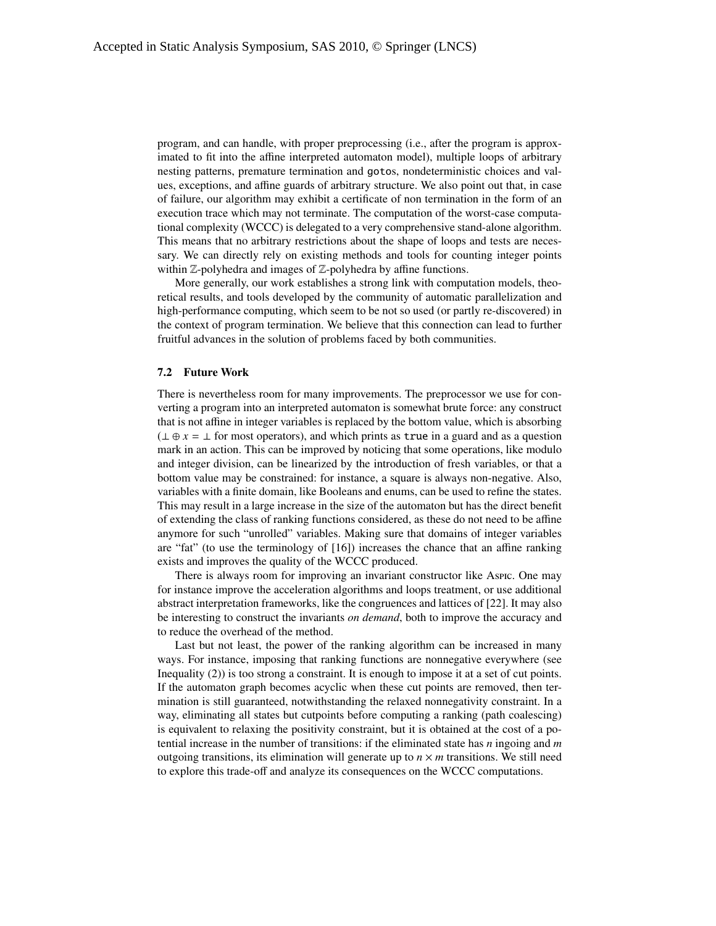program, and can handle, with proper preprocessing (i.e., after the program is approximated to fit into the affine interpreted automaton model), multiple loops of arbitrary nesting patterns, premature termination and gotos, nondeterministic choices and values, exceptions, and affine guards of arbitrary structure. We also point out that, in case of failure, our algorithm may exhibit a certificate of non termination in the form of an execution trace which may not terminate. The computation of the worst-case computational complexity (WCCC) is delegated to a very comprehensive stand-alone algorithm. This means that no arbitrary restrictions about the shape of loops and tests are necessary. We can directly rely on existing methods and tools for counting integer points within Z-polyhedra and images of Z-polyhedra by affine functions.

More generally, our work establishes a strong link with computation models, theoretical results, and tools developed by the community of automatic parallelization and high-performance computing, which seem to be not so used (or partly re-discovered) in the context of program termination. We believe that this connection can lead to further fruitful advances in the solution of problems faced by both communities.

#### 7.2 Future Work

There is nevertheless room for many improvements. The preprocessor we use for converting a program into an interpreted automaton is somewhat brute force: any construct that is not affine in integer variables is replaced by the bottom value, which is absorbing  $(\perp \oplus x = \perp$  for most operators), and which prints as true in a guard and as a question mark in an action. This can be improved by noticing that some operations, like modulo and integer division, can be linearized by the introduction of fresh variables, or that a bottom value may be constrained: for instance, a square is always non-negative. Also, variables with a finite domain, like Booleans and enums, can be used to refine the states. This may result in a large increase in the size of the automaton but has the direct benefit of extending the class of ranking functions considered, as these do not need to be affine anymore for such "unrolled" variables. Making sure that domains of integer variables are "fat" (to use the terminology of  $[16]$ ) increases the chance that an affine ranking exists and improves the quality of the WCCC produced.

There is always room for improving an invariant constructor like Aspic. One may for instance improve the acceleration algorithms and loops treatment, or use additional abstract interpretation frameworks, like the congruences and lattices of [22]. It may also be interesting to construct the invariants *on demand*, both to improve the accuracy and to reduce the overhead of the method.

Last but not least, the power of the ranking algorithm can be increased in many ways. For instance, imposing that ranking functions are nonnegative everywhere (see Inequality (2)) is too strong a constraint. It is enough to impose it at a set of cut points. If the automaton graph becomes acyclic when these cut points are removed, then termination is still guaranteed, notwithstanding the relaxed nonnegativity constraint. In a way, eliminating all states but cutpoints before computing a ranking (path coalescing) is equivalent to relaxing the positivity constraint, but it is obtained at the cost of a potential increase in the number of transitions: if the eliminated state has *n* ingoing and *m* outgoing transitions, its elimination will generate up to  $n \times m$  transitions. We still need to explore this trade-off and analyze its consequences on the WCCC computations.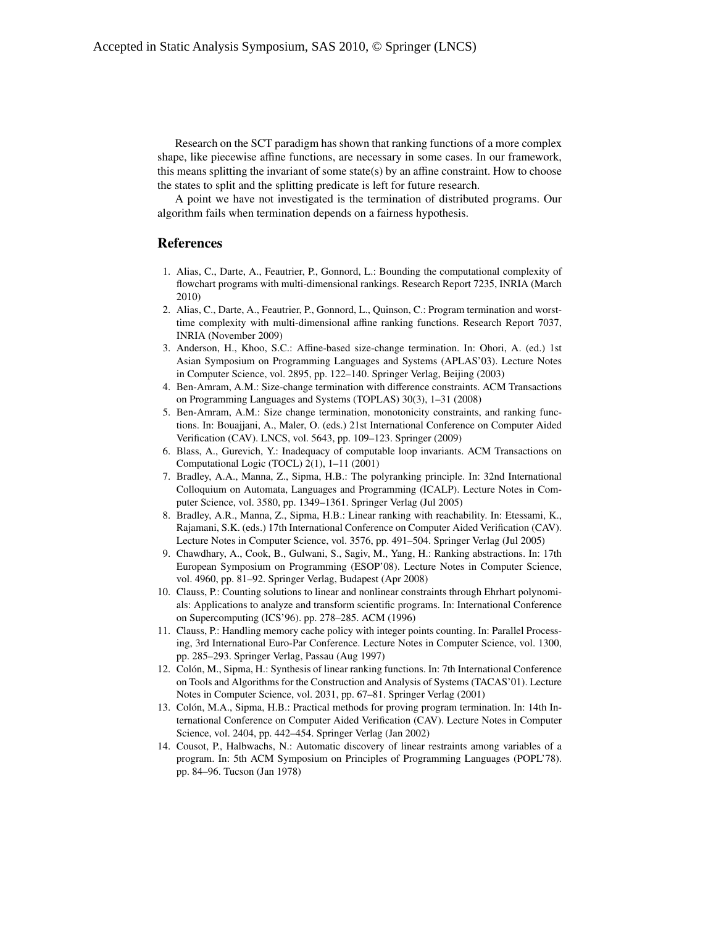Research on the SCT paradigm has shown that ranking functions of a more complex shape, like piecewise affine functions, are necessary in some cases. In our framework, this means splitting the invariant of some state(s) by an affine constraint. How to choose the states to split and the splitting predicate is left for future research.

A point we have not investigated is the termination of distributed programs. Our algorithm fails when termination depends on a fairness hypothesis.

# References

- 1. Alias, C., Darte, A., Feautrier, P., Gonnord, L.: Bounding the computational complexity of flowchart programs with multi-dimensional rankings. Research Report 7235, INRIA (March 2010)
- 2. Alias, C., Darte, A., Feautrier, P., Gonnord, L., Quinson, C.: Program termination and worsttime complexity with multi-dimensional affine ranking functions. Research Report 7037, INRIA (November 2009)
- 3. Anderson, H., Khoo, S.C.: Affine-based size-change termination. In: Ohori, A. (ed.) 1st Asian Symposium on Programming Languages and Systems (APLAS'03). Lecture Notes in Computer Science, vol. 2895, pp. 122–140. Springer Verlag, Beijing (2003)
- 4. Ben-Amram, A.M.: Size-change termination with difference constraints. ACM Transactions on Programming Languages and Systems (TOPLAS) 30(3), 1–31 (2008)
- 5. Ben-Amram, A.M.: Size change termination, monotonicity constraints, and ranking functions. In: Bouajjani, A., Maler, O. (eds.) 21st International Conference on Computer Aided Verification (CAV). LNCS, vol. 5643, pp. 109–123. Springer (2009)
- 6. Blass, A., Gurevich, Y.: Inadequacy of computable loop invariants. ACM Transactions on Computational Logic (TOCL) 2(1), 1–11 (2001)
- 7. Bradley, A.A., Manna, Z., Sipma, H.B.: The polyranking principle. In: 32nd International Colloquium on Automata, Languages and Programming (ICALP). Lecture Notes in Computer Science, vol. 3580, pp. 1349–1361. Springer Verlag (Jul 2005)
- 8. Bradley, A.R., Manna, Z., Sipma, H.B.: Linear ranking with reachability. In: Etessami, K., Rajamani, S.K. (eds.) 17th International Conference on Computer Aided Verification (CAV). Lecture Notes in Computer Science, vol. 3576, pp. 491–504. Springer Verlag (Jul 2005)
- 9. Chawdhary, A., Cook, B., Gulwani, S., Sagiv, M., Yang, H.: Ranking abstractions. In: 17th European Symposium on Programming (ESOP'08). Lecture Notes in Computer Science, vol. 4960, pp. 81–92. Springer Verlag, Budapest (Apr 2008)
- 10. Clauss, P.: Counting solutions to linear and nonlinear constraints through Ehrhart polynomials: Applications to analyze and transform scientific programs. In: International Conference on Supercomputing (ICS'96). pp. 278–285. ACM (1996)
- 11. Clauss, P.: Handling memory cache policy with integer points counting. In: Parallel Processing, 3rd International Euro-Par Conference. Lecture Notes in Computer Science, vol. 1300, pp. 285–293. Springer Verlag, Passau (Aug 1997)
- 12. Colón, M., Sipma, H.: Synthesis of linear ranking functions. In: 7th International Conference on Tools and Algorithms for the Construction and Analysis of Systems (TACAS'01). Lecture Notes in Computer Science, vol. 2031, pp. 67–81. Springer Verlag (2001)
- 13. Colón, M.A., Sipma, H.B.: Practical methods for proving program termination. In: 14th International Conference on Computer Aided Verification (CAV). Lecture Notes in Computer Science, vol. 2404, pp. 442–454. Springer Verlag (Jan 2002)
- 14. Cousot, P., Halbwachs, N.: Automatic discovery of linear restraints among variables of a program. In: 5th ACM Symposium on Principles of Programming Languages (POPL'78). pp. 84–96. Tucson (Jan 1978)